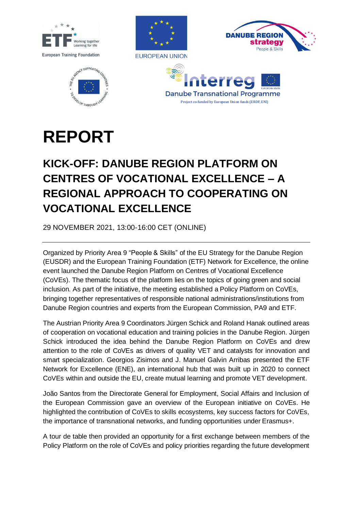









## **REPORT**

## **KICK-OFF: DANUBE REGION PLATFORM ON CENTRES OF VOCATIONAL EXCELLENCE – A REGIONAL APPROACH TO COOPERATING ON VOCATIONAL EXCELLENCE**

29 NOVEMBER 2021, 13:00-16:00 CET (ONLINE)

Organized by Priority Area 9 "People & Skills" of the EU Strategy for the Danube Region (EUSDR) and the European Training Foundation (ETF) Network for Excellence, the online event launched the Danube Region Platform on Centres of Vocational Excellence (CoVEs). The thematic focus of the platform lies on the topics of going green and social inclusion. As part of the initiative, the meeting established a Policy Platform on CoVEs, bringing together representatives of responsible national administrations/institutions from Danube Region countries and experts from the European Commission, PA9 and ETF.

The Austrian Priority Area 9 Coordinators Jürgen Schick and Roland Hanak outlined areas of cooperation on vocational education and training policies in the Danube Region. Jürgen Schick introduced the idea behind the Danube Region Platform on CoVEs and drew attention to the role of CoVEs as drivers of quality VET and catalysts for innovation and smart specialization. Georgios Zisimos and J. Manuel Galvin Arribas presented the ETF Network for Excellence (ENE), an international hub that was built up in 2020 to connect CoVEs within and outside the EU, create mutual learning and promote VET development.

João Santos from the Directorate General for Employment, Social Affairs and Inclusion of the European Commission gave an overview of the European initiative on CoVEs. He highlighted the contribution of CoVEs to skills ecosystems, key success factors for CoVEs, the importance of transnational networks, and funding opportunities under Erasmus+.

A tour de table then provided an opportunity for a first exchange between members of the Policy Platform on the role of CoVEs and policy priorities regarding the future development